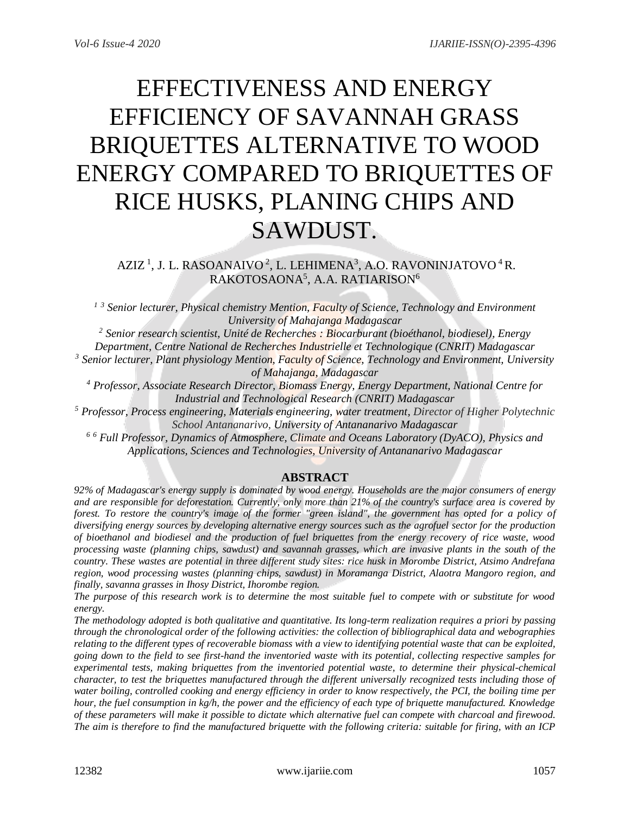# EFFECTIVENESS AND ENERGY EFFICIENCY OF SAVANNAH GRASS BRIQUETTES ALTERNATIVE TO WOOD ENERGY COMPARED TO BRIQUETTES OF RICE HUSKS, PLANING CHIPS AND SAWDUST.

AZIZ<sup>1</sup>, J. L. RASOANAIVO<sup>2</sup>, L. LEHIMENA<sup>3</sup>, A.O. RAVONINJATOVO<sup>4</sup> R. RAKOTOSAONA<sup>5</sup>, A.A. RATIARISON<sup>6</sup>

*<sup>1</sup> <sup>3</sup> Senior lecturer, Physical chemistry Mention, Faculty of Science, Technology and Environment University of Mahajanga Madagascar*

*<sup>2</sup> Senior research scientist, Unité de Recherches : Biocarburant (bioéthanol, biodiesel), Energy Department, Centre National de Recherches Industrielle et Technologique (CNRIT) Madagascar <sup>3</sup> Senior lecturer, Plant physiology Mention, Faculty of Science, Technology and Environment, University of Mahajanga, Madagascar*

*<sup>4</sup> Professor, Associate Research Director, Biomass Energy, Energy Department, National Centre for Industrial and Technological Research (CNRIT) Madagascar*

*<sup>5</sup> Professor, Process engineering, Materials engineering, water treatment, Director of Higher Polytechnic School Antananarivo, University of Antananarivo Madagascar*

*<sup>6</sup> <sup>6</sup> Full Professor, Dynamics of Atmosphere, Climate and Oceans Laboratory (DyACO), Physics and Applications, Sciences and Technologies, University of Antananarivo Madagascar*

# **ABSTRACT**

*92% of Madagascar's energy supply is dominated by wood energy. Households are the major consumers of energy and are responsible for deforestation. Currently, only more than 21% of the country's surface area is covered by*  forest. To restore the country's image of the former "green island", the government has opted for a policy of *diversifying energy sources by developing alternative energy sources such as the agrofuel sector for the production of bioethanol and biodiesel and the production of fuel briquettes from the energy recovery of rice waste, wood processing waste (planning chips, sawdust) and savannah grasses, which are invasive plants in the south of the country. These wastes are potential in three different study sites: rice husk in Morombe District, Atsimo Andrefana region, wood processing wastes (planning chips, sawdust) in Moramanga District, Alaotra Mangoro region, and finally, savanna grasses in Ihosy District, Ihorombe region.*

*The purpose of this research work is to determine the most suitable fuel to compete with or substitute for wood energy.*

*The methodology adopted is both qualitative and quantitative. Its long-term realization requires a priori by passing through the chronological order of the following activities: the collection of bibliographical data and webographies relating to the different types of recoverable biomass with a view to identifying potential waste that can be exploited, going down to the field to see first-hand the inventoried waste with its potential, collecting respective samples for experimental tests, making briquettes from the inventoried potential waste, to determine their physical-chemical character, to test the briquettes manufactured through the different universally recognized tests including those of water boiling, controlled cooking and energy efficiency in order to know respectively, the PCI, the boiling time per hour, the fuel consumption in kg/h, the power and the efficiency of each type of briquette manufactured. Knowledge of these parameters will make it possible to dictate which alternative fuel can compete with charcoal and firewood. The aim is therefore to find the manufactured briquette with the following criteria: suitable for firing, with an ICP*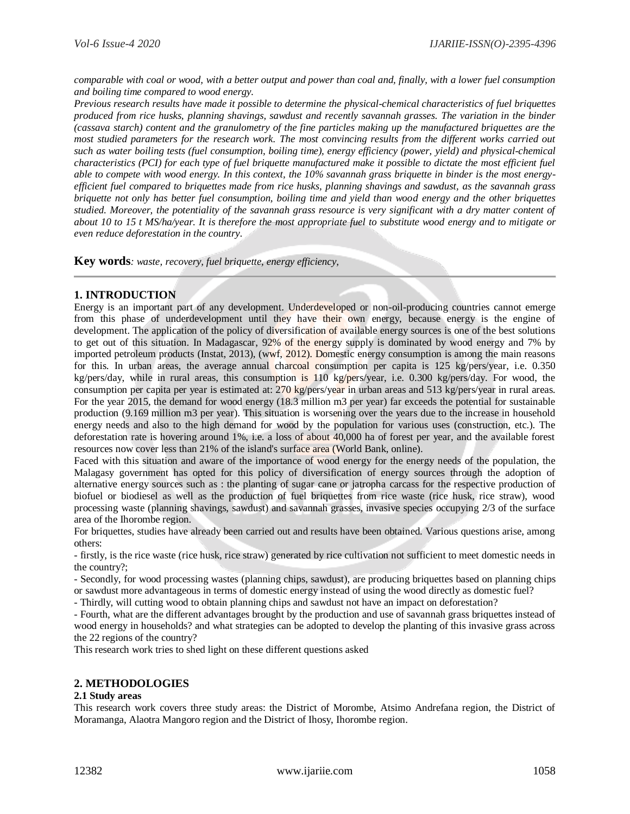*comparable with coal or wood, with a better output and power than coal and, finally, with a lower fuel consumption and boiling time compared to wood energy.* 

*Previous research results have made it possible to determine the physical-chemical characteristics of fuel briquettes produced from rice husks, planning shavings, sawdust and recently savannah grasses. The variation in the binder (cassava starch) content and the granulometry of the fine particles making up the manufactured briquettes are the*  most studied parameters for the research work. The most convincing results from the different works carried out *such as water boiling tests (fuel consumption, boiling time), energy efficiency (power, yield) and physical-chemical characteristics (PCI) for each type of fuel briquette manufactured make it possible to dictate the most efficient fuel able to compete with wood energy. In this context, the 10% savannah grass briquette in binder is the most energyefficient fuel compared to briquettes made from rice husks, planning shavings and sawdust, as the savannah grass briquette not only has better fuel consumption, boiling time and yield than wood energy and the other briquettes studied. Moreover, the potentiality of the savannah grass resource is very significant with a dry matter content of about 10 to 15 t MS/ha/year. It is therefore the most appropriate fuel to substitute wood energy and to mitigate or even reduce deforestation in the country.* 

**Key words***: waste, recovery, fuel briquette, energy efficiency,*

# **1. INTRODUCTION**

Energy is an important part of any development. Underdeveloped or non-oil-producing countries cannot emerge from this phase of underdevelopment until they have their own energy, because energy is the engine of development. The application of the policy of diversification of available energy sources is one of the best solutions to get out of this situation. In Madagascar, 92% of the energy supply is dominated by wood energy and 7% by imported petroleum products (Instat, 2013), (wwf, 2012). Domestic energy consumption is among the main reasons for this. In urban areas, the average annual charcoal consumption per capita is 125 kg/pers/year, i.e. 0.350 kg/pers/day, while in rural areas, this consumption is 110 kg/pers/year, i.e. 0.300 kg/pers/day. For wood, the consumption per capita per year is estimated at: 270 kg/pers/year in urban areas and 513 kg/pers/year in rural areas. For the year 2015, the demand for wood energy (18.3 million m3 per year) far exceeds the potential for sustainable production (9.169 million m3 per year). This situation is worsening over the years due to the increase in household energy needs and also to the high demand for wood by the population for various uses (construction, etc.). The deforestation rate is hovering around 1%, i.e. a loss of about 40,000 ha of forest per year, and the available forest resources now cover less than 21% of the island's surface area (World Bank, online).

Faced with this situation and aware of the importance of wood energy for the energy needs of the population, the Malagasy government has opted for this policy of diversification of energy sources through the adoption of alternative energy sources such as : the planting of sugar cane or jatropha carcass for the respective production of biofuel or biodiesel as well as the production of fuel briquettes from rice waste (rice husk, rice straw), wood processing waste (planning shavings, sawdust) and savannah grasses, invasive species occupying 2/3 of the surface area of the Ihorombe region.

For briquettes, studies have already been carried out and results have been obtained. Various questions arise, among others:

- firstly, is the rice waste (rice husk, rice straw) generated by rice cultivation not sufficient to meet domestic needs in the country?;

- Secondly, for wood processing wastes (planning chips, sawdust), are producing briquettes based on planning chips or sawdust more advantageous in terms of domestic energy instead of using the wood directly as domestic fuel?

- Thirdly, will cutting wood to obtain planning chips and sawdust not have an impact on deforestation?

- Fourth, what are the different advantages brought by the production and use of savannah grass briquettes instead of wood energy in households? and what strategies can be adopted to develop the planting of this invasive grass across the 22 regions of the country?

This research work tries to shed light on these different questions asked

# **2. METHODOLOGIES**

#### **2.1 Study areas**

This research work covers three study areas: the District of Morombe, Atsimo Andrefana region, the District of Moramanga, Alaotra Mangoro region and the District of Ihosy, Ihorombe region.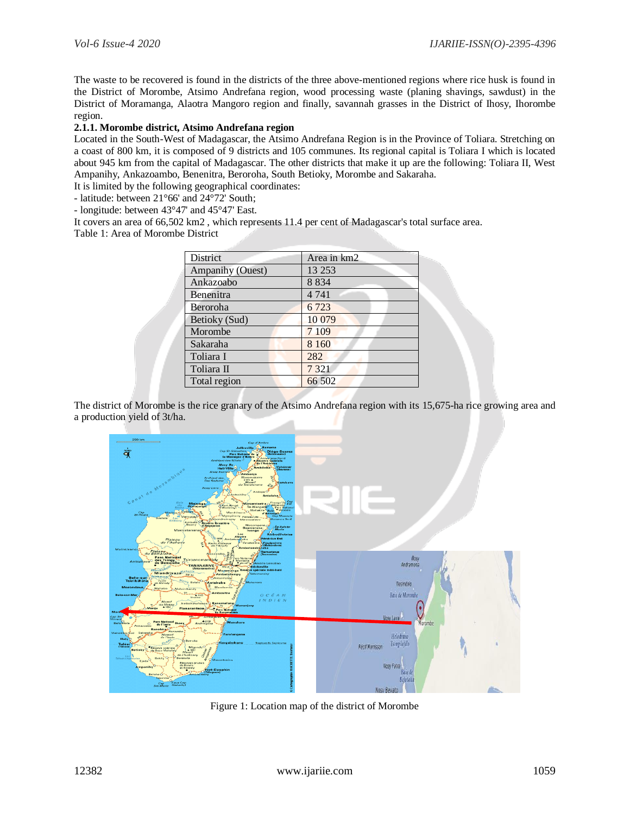The waste to be recovered is found in the districts of the three above-mentioned regions where rice husk is found in the District of Morombe, Atsimo Andrefana region, wood processing waste (planing shavings, sawdust) in the District of Moramanga, Alaotra Mangoro region and finally, savannah grasses in the District of Ihosy, Ihorombe region.

## **2.1.1. Morombe district, Atsimo Andrefana region**

Located in the South-West of Madagascar, the Atsimo Andrefana Region is in the Province of Toliara. Stretching on a coast of 800 km, it is composed of 9 districts and 105 communes. Its regional capital is Toliara I which is located about 945 km from the capital of Madagascar. The other districts that make it up are the following: Toliara II, West Ampanihy, Ankazoambo, Benenitra, Beroroha, South Betioky, Morombe and Sakaraha.

It is limited by the following geographical coordinates:

- latitude: between 21°66' and 24°72' South;

- longitude: between 43°47' and 45°47' East.

It covers an area of 66,502 km2 , which represents 11.4 per cent of Madagascar's total surface area. Table 1: Area of Morombe District

| <b>District</b>  | Area in km2 |
|------------------|-------------|
| Ampanihy (Ouest) | 13 25 3     |
| Ankazoabo        | 8 8 3 4     |
| Benenitra        | 4 7 4 1     |
| Beroroha         | 6723        |
| Betioky (Sud)    | 10 079      |
| Morombe          | 7 1 0 9     |
| Sakaraha         | 8 1 6 0     |
| Toliara I        | 282         |
| Toliara II       | 7 3 2 1     |
| Total region     | 66 502      |

The district of Morombe is the rice granary of the Atsimo Andrefana region with its 15,675-ha rice growing area and a production yield of 3t/ha.



Figure 1: Location map of the district of Morombe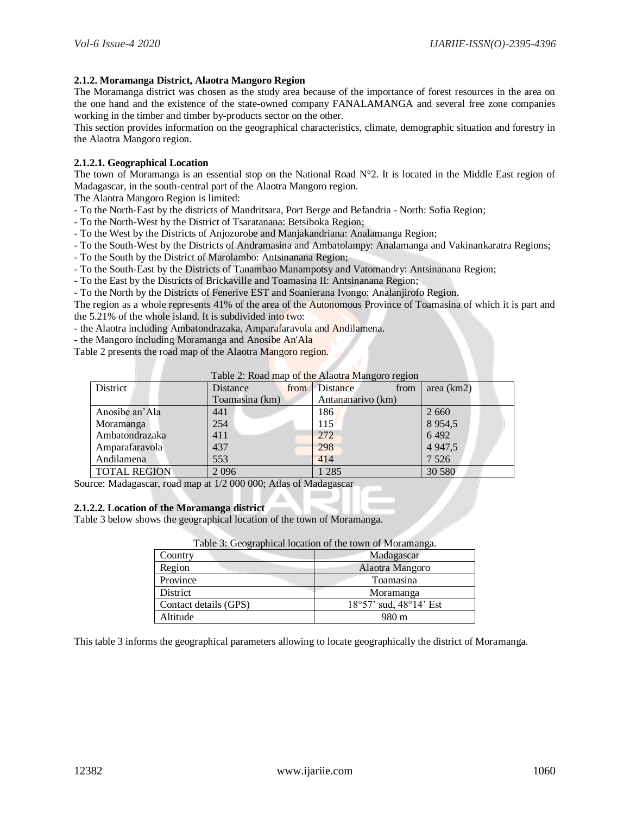#### **2.1.2. Moramanga District, Alaotra Mangoro Region**

The Moramanga district was chosen as the study area because of the importance of forest resources in the area on the one hand and the existence of the state-owned company FANALAMANGA and several free zone companies working in the timber and timber by-products sector on the other.

This section provides information on the geographical characteristics, climate, demographic situation and forestry in the Alaotra Mangoro region.

#### **2.1.2.1. Geographical Location**

The town of Moramanga is an essential stop on the National Road N°2. It is located in the Middle East region of Madagascar, in the south-central part of the Alaotra Mangoro region.

The Alaotra Mangoro Region is limited:

- To the North-East by the districts of Mandritsara, Port Berge and Befandria North: Sofia Region;
- To the North-West by the District of Tsaratanana: Betsiboka Region;
- To the West by the Districts of Anjozorobe and Manjakandriana: Analamanga Region;
- To the South-West by the Districts of Andramasina and Ambatolampy: Analamanga and Vakinankaratra Regions;
- To the South by the District of Marolambo: Antsinanana Region;
- To the South-East by the Districts of Tanambao Manampotsy and Vatomandry: Antsinanana Region;
- To the East by the Districts of Brickaville and Toamasina II: Antsinanana Region;
- To the North by the Districts of Fenerive EST and Soanierana Ivongo: Analanjirofo Region.

The region as a whole represents 41% of the area of the Autonomous Province of Toamasina of which it is part and the 5.21% of the whole island. It is subdivided into two:

- the Alaotra including Ambatondrazaka, Amparafaravola and Andilamena.

- the Mangoro including Moramanga and Anosibe An'Ala
- Table 2 presents the road map of the Alaotra Mangoro region.

| District            | Distance<br>from | Distance<br>from  | area (km2) |
|---------------------|------------------|-------------------|------------|
|                     | Toamasina (km)   | Antananarivo (km) |            |
| Anosibe an'Ala      | 441              | 186               | 2 6 6 0    |
| Moramanga           | 254              | 115               | 8 9 5 4 5  |
| Ambatondrazaka      | 411              | 272               | 6 4 9 2    |
| Amparafaravola      | 437              | 298               | 4 9 4 7, 5 |
| Andilamena          | 553              | 414               | 7 5 2 6    |
| <b>TOTAL REGION</b> | 2096             | 1 285             | 30 580     |

## Table 2: Road map of the Alaotra Mangoro region

Source: Madagascar, road map at 1/2 000 000; Atlas of Madagascar

## **2.1.2.2. Location of the Moramanga district**

Table 3 below shows the geographical location of the town of Moramanga.

| Table 3: Geographical location of the town of Moramanga. |                        |  |  |
|----------------------------------------------------------|------------------------|--|--|
| Country                                                  | Madagascar             |  |  |
| Region                                                   | Alaotra Mangoro        |  |  |
| Province                                                 | Toamasina              |  |  |
| District                                                 | Moramanga              |  |  |
| Contact details (GPS)                                    | 18°57' sud, 48°14' Est |  |  |
| Altitude                                                 | 980 m                  |  |  |

This table 3 informs the geographical parameters allowing to locate geographically the district of Moramanga.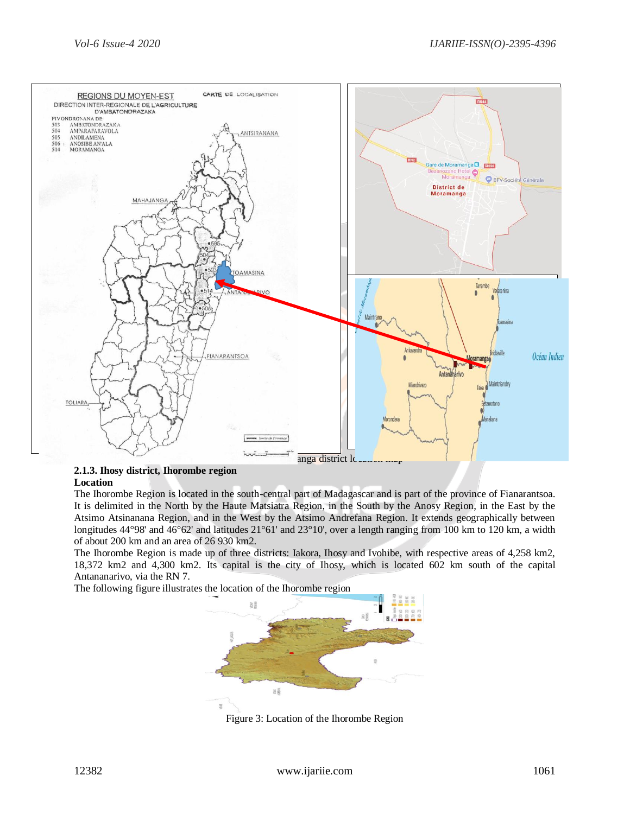

#### **2.1.3. Ihosy district, Ihorombe region Location**

The Ihorombe Region is located in the south-central part of Madagascar and is part of the province of Fianarantsoa. It is delimited in the North by the Haute Matsiatra Region, in the South by the Anosy Region, in the East by the Atsimo Atsinanana Region, and in the West by the Atsimo Andrefana Region. It extends geographically between longitudes 44°98' and 46°62' and latitudes 21°61' and 23°10', over a length ranging from 100 km to 120 km, a width of about 200 km and an area of 26 930 km2.

The Ihorombe Region is made up of three districts: Iakora, Ihosy and Ivohibe, with respective areas of 4,258 km2, 18,372 km2 and 4,300 km2. Its capital is the city of Ihosy, which is located 602 km south of the capital Antananarivo, via the RN 7.

The following figure illustrates the location of the Ihorombe region



Figure 3: Location of the Ihorombe Region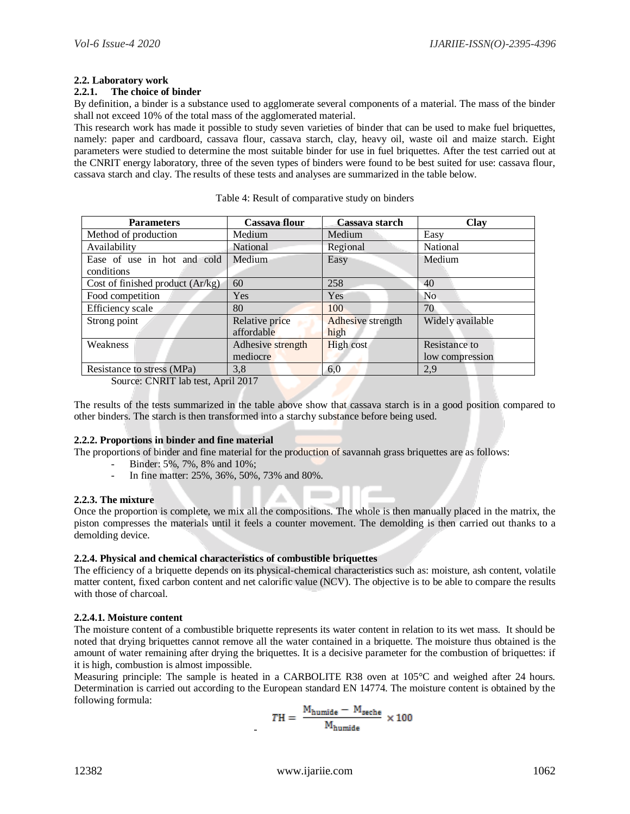## **2.2. Laboratory work**

## **2.2.1. The choice of binder**

By definition, a binder is a substance used to agglomerate several components of a material. The mass of the binder shall not exceed 10% of the total mass of the agglomerated material.

This research work has made it possible to study seven varieties of binder that can be used to make fuel briquettes, namely: paper and cardboard, cassava flour, cassava starch, clay, heavy oil, waste oil and maize starch. Eight parameters were studied to determine the most suitable binder for use in fuel briquettes. After the test carried out at the CNRIT energy laboratory, three of the seven types of binders were found to be best suited for use: cassava flour, cassava starch and clay. The results of these tests and analyses are summarized in the table below.

| <b>Parameters</b>                | Cassava flour     | Cassava starch    | Clay             |
|----------------------------------|-------------------|-------------------|------------------|
| Method of production             | Medium            | Medium            | Easy             |
| Availability                     | National          | Regional          | National         |
| Ease of use in hot and cold      | Medium            | Easy              | Medium           |
| conditions                       |                   |                   |                  |
| Cost of finished product (Ar/kg) | 60                | 258               | 40               |
| Food competition                 | Yes               | Yes               | N <sub>0</sub>   |
| Efficiency scale                 | 80                | 100               | 70               |
| Strong point                     | Relative price    | Adhesive strength | Widely available |
|                                  | affordable        | high              |                  |
| Weakness                         | Adhesive strength | <b>High cost</b>  | Resistance to    |
|                                  | mediocre          |                   | low compression  |
| Resistance to stress (MPa)       | 3,8               | 6,0               | 2,9              |

Table 4: Result of comparative study on binders

Source: CNRIT lab test, April 2017

The results of the tests summarized in the table above show that cassava starch is in a good position compared to other binders. The starch is then transformed into a starchy substance before being used.

#### **2.2.2. Proportions in binder and fine material**

The proportions of binder and fine material for the production of savannah grass briquettes are as follows:

- Binder: 5%, 7%, 8% and 10%;
- In fine matter: 25%, 36%, 50%, 73% and 80%.

#### **2.2.3. The mixture**

Once the proportion is complete, we mix all the compositions. The whole is then manually placed in the matrix, the piston compresses the materials until it feels a counter movement. The demolding is then carried out thanks to a demolding device.

#### **2.2.4. Physical and chemical characteristics of combustible briquettes**

-

The efficiency of a briquette depends on its physical-chemical characteristics such as: moisture, ash content, volatile matter content, fixed carbon content and net calorific value (NCV). The objective is to be able to compare the results with those of charcoal.

#### **2.2.4.1. Moisture content**

The moisture content of a combustible briquette represents its water content in relation to its wet mass. It should be noted that drying briquettes cannot remove all the water contained in a briquette. The moisture thus obtained is the amount of water remaining after drying the briquettes. It is a decisive parameter for the combustion of briquettes: if it is high, combustion is almost impossible.

Measuring principle: The sample is heated in a CARBOLITE R38 oven at 105°C and weighed after 24 hours. Determination is carried out according to the European standard EN 14774. The moisture content is obtained by the following formula:

$$
TH = \frac{M_{\text{humide}} - M_{\text{seche}}}{M_{\text{humide}}} \times 100
$$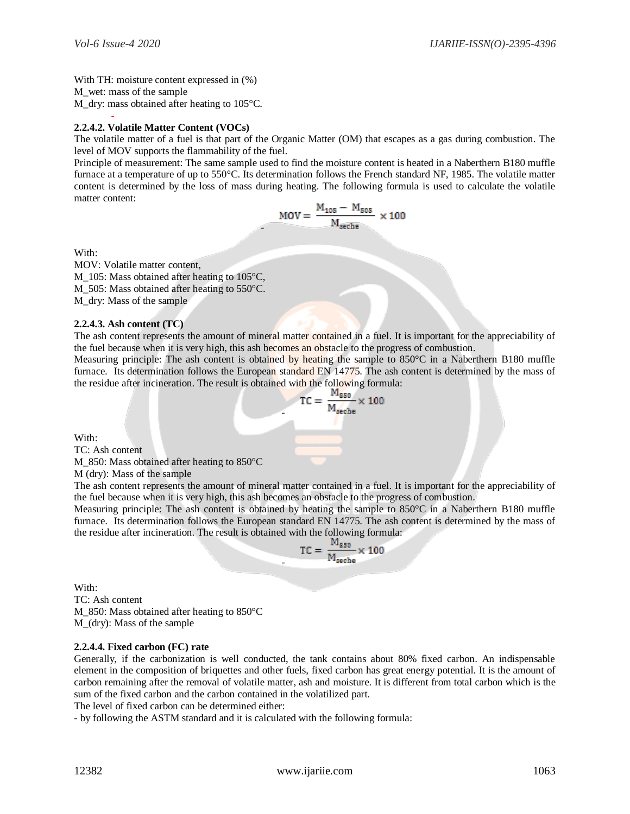With TH: moisture content expressed in  $(\%)$ M\_wet: mass of the sample M dry: mass obtained after heating to 105°C.

#### - **2.2.4.2. Volatile Matter Content (VOCs)**

The volatile matter of a fuel is that part of the Organic Matter (OM) that escapes as a gas during combustion. The level of MOV supports the flammability of the fuel.

Principle of measurement: The same sample used to find the moisture content is heated in a Naberthern B180 muffle furnace at a temperature of up to 550°C. Its determination follows the French standard NF, 1985. The volatile matter content is determined by the loss of mass during heating. The following formula is used to calculate the volatile matter content:

-

$$
MOV = \frac{M_{105} - M_{505}}{M_{seche}} \times 100
$$

With:

MOV: Volatile matter content, M\_105: Mass obtained after heating to 105°C, M\_505: Mass obtained after heating to 550°C. M\_dry: Mass of the sample

#### **2.2.4.3. Ash content (TC)**

The ash content represents the amount of mineral matter contained in a fuel. It is important for the appreciability of the fuel because when it is very high, this ash becomes an obstacle to the progress of combustion.

Measuring principle: The ash content is obtained by heating the sample to 850°C in a Naberthern B180 muffle furnace. Its determination follows the European standard EN 14775. The ash content is determined by the mass of the residue after incineration. The result is obtained with the following formula:

-

-

$$
TC = \frac{M_{850}}{M_{\text{seche}}} \times 100
$$

With:

TC: Ash content

M\_850: Mass obtained after heating to 850°C

M (dry): Mass of the sample

The ash content represents the amount of mineral matter contained in a fuel. It is important for the appreciability of the fuel because when it is very high, this ash becomes an obstacle to the progress of combustion.

Measuring principle: The ash content is obtained by heating the sample to 850°C in a Naberthern B180 muffle furnace. Its determination follows the European standard EN 14775. The ash content is determined by the mass of the residue after incineration. The result is obtained with the following formula:

$$
TC = \frac{M_{850}}{M_{seche}} \times 100
$$

With: TC: Ash content M\_850: Mass obtained after heating to 850°C M\_(dry): Mass of the sample

#### **2.2.4.4. Fixed carbon (FC) rate**

Generally, if the carbonization is well conducted, the tank contains about 80% fixed carbon. An indispensable element in the composition of briquettes and other fuels, fixed carbon has great energy potential. It is the amount of carbon remaining after the removal of volatile matter, ash and moisture. It is different from total carbon which is the sum of the fixed carbon and the carbon contained in the volatilized part.

The level of fixed carbon can be determined either:

- by following the ASTM standard and it is calculated with the following formula: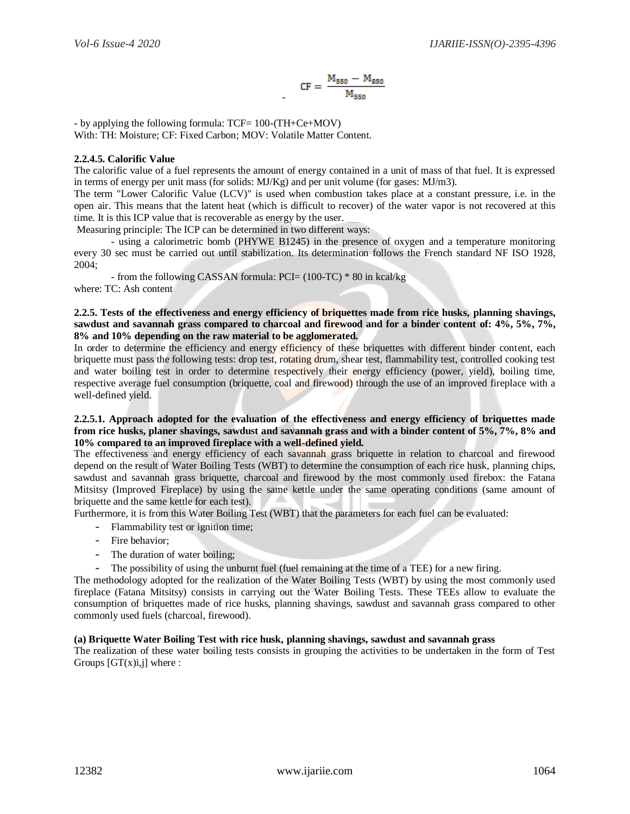$$
CF = \frac{M_{550} - M_{850}}{M_{550}}
$$

- by applying the following formula: TCF= 100-(TH+Ce+MOV) With: TH: Moisture; CF: Fixed Carbon; MOV: Volatile Matter Content.

## **2.2.4.5. Calorific Value**

The calorific value of a fuel represents the amount of energy contained in a unit of mass of that fuel. It is expressed in terms of energy per unit mass (for solids: MJ/Kg) and per unit volume (for gases: MJ/m3).

-

The term "Lower Calorific Value (LCV)" is used when combustion takes place at a constant pressure, i.e. in the open air. This means that the latent heat (which is difficult to recover) of the water vapor is not recovered at this time. It is this ICP value that is recoverable as energy by the user.

Measuring principle: The ICP can be determined in two different ways:

- using a calorimetric bomb (PHYWE B1245) in the presence of oxygen and a temperature monitoring every 30 sec must be carried out until stabilization. Its determination follows the French standard NF ISO 1928, 2004;

- from the following CASSAN formula: PCI= (100-TC) \* 80 in kcal/kg where: TC: Ash content

#### **2.2.5. Tests of the effectiveness and energy efficiency of briquettes made from rice husks, planning shavings, sawdust and savannah grass compared to charcoal and firewood and for a binder content of: 4%, 5%, 7%, 8% and 10% depending on the raw material to be agglomerated.**

In order to determine the efficiency and energy efficiency of these briquettes with different binder content, each briquette must pass the following tests: drop test, rotating drum, shear test, flammability test, controlled cooking test and water boiling test in order to determine respectively their energy efficiency (power, yield), boiling time, respective average fuel consumption (briquette, coal and firewood) through the use of an improved fireplace with a well-defined yield.

#### **2.2.5.1. Approach adopted for the evaluation of the effectiveness and energy efficiency of briquettes made from rice husks, planer shavings, sawdust and savannah grass and with a binder content of 5%, 7%, 8% and 10% compared to an improved fireplace with a well-defined yield.**

The effectiveness and energy efficiency of each savannah grass briquette in relation to charcoal and firewood depend on the result of Water Boiling Tests (WBT) to determine the consumption of each rice husk, planning chips, sawdust and savannah grass briquette, charcoal and firewood by the most commonly used firebox: the Fatana Mitsitsy (Improved Fireplace) by using the same kettle under the same operating conditions (same amount of briquette and the same kettle for each test).

Furthermore, it is from this Water Boiling Test (WBT) that the parameters for each fuel can be evaluated:

- Flammability test or ignition time;
- Fire behavior;
- The duration of water boiling;
- The possibility of using the unburnt fuel (fuel remaining at the time of a TEE) for a new firing.

The methodology adopted for the realization of the Water Boiling Tests (WBT) by using the most commonly used fireplace (Fatana Mitsitsy) consists in carrying out the Water Boiling Tests. These TEEs allow to evaluate the consumption of briquettes made of rice husks, planning shavings, sawdust and savannah grass compared to other commonly used fuels (charcoal, firewood).

#### **(a) Briquette Water Boiling Test with rice husk, planning shavings, sawdust and savannah grass**

The realization of these water boiling tests consists in grouping the activities to be undertaken in the form of Test Groups  $[GT(x)i,j]$  where :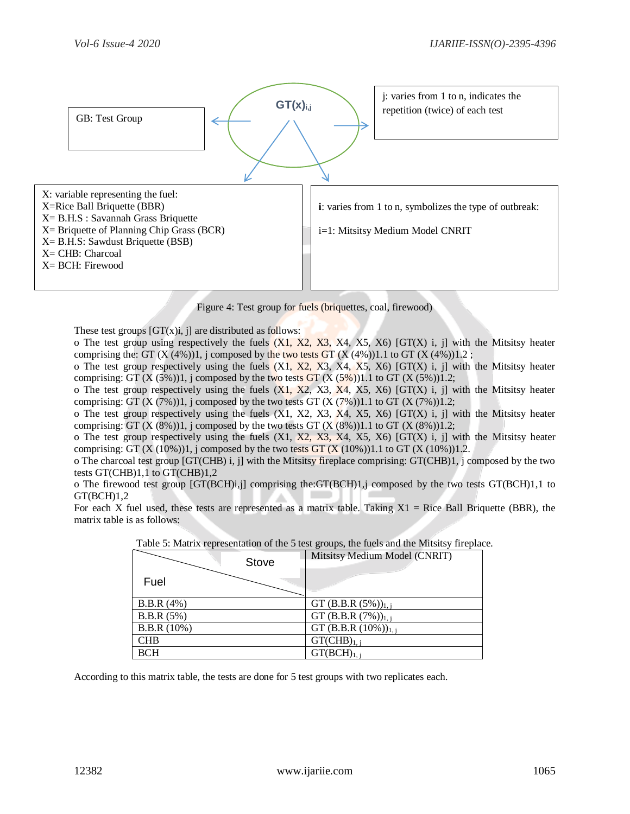

Figure 4: Test group for fuels (briquettes, coal, firewood)

These test groups  $[GT(x)]$ , il are distributed as follows:

o The test group using respectively the fuels  $(X1, X2, X3, X4, X5, X6)$  [GT $(X)$  i, j] with the Mitsitsy heater comprising the: GT  $(X (4\%))1$ , j composed by the two tests GT  $(X (4\%))1.1$  to GT  $(X (4\%))1.2$ ;

o The test group respectively using the fuels  $(X1, X2, X3, X4, X5, X6)$  [GT $(X)$  i, j] with the Mitsitsy heater comprising: GT  $(X (5\%))1$ , j composed by the two tests GT  $(X (5\%))1.1$  to GT  $(X (5\%))1.2$ ;

o The test group respectively using the fuels  $(X1, X2, X3, X4, X5, X6)$  [GT(X) i, j] with the Mitsitsy heater comprising: GT  $(X (7\%))1$ , j composed by the two tests GT  $(X (7\%))1.1$  to GT  $(X (7\%))1.2$ ;

o The test group respectively using the fuels  $(X1, X2, X3, X4, X5, X6)$  [GT $(X)$  i, j] with the Mitsitsy heater comprising: GT  $(X (8%))1$ , j composed by the two tests GT  $(X (8%))1.1$  to GT  $(X (8%))1.2$ ;

o The test group respectively using the fuels  $(X1, X2, X3, X4, X5, X6)$  [GT $(X)$  i, j] with the Mitsitsy heater comprising: GT  $(X (10%))1$ , j composed by the two tests GT  $(X (10%))1.1$  to GT  $(X (10%))1.2$ .

o The charcoal test group [GT(CHB) i, j] with the Mitsitsy fireplace comprising: GT(CHB)1, j composed by the two tests GT(CHB)1,1 to GT(CHB)1,2

o The firewood test group [GT(BCH)i,j] comprising the:GT(BCH)1,j composed by the two tests GT(BCH)1,1 to  $GT(BCH)1,2$ 

For each X fuel used, these tests are represented as a matrix table. Taking  $X1$  = Rice Ball Briquette (BBR), the matrix table is as follows:

| Table 5: Matrix representation of the 5 test groups, the fuels and the Mitsitsy fireplace |       |                                    |  |  |
|-------------------------------------------------------------------------------------------|-------|------------------------------------|--|--|
|                                                                                           | Stove | Mitsitsy Medium Model (CNRIT)      |  |  |
| Fuel                                                                                      |       |                                    |  |  |
| B.B.R(4%)                                                                                 |       | GT (B.B.R $(5%)$ ) <sub>1, j</sub> |  |  |
| B.B.R(5%)                                                                                 |       | GT (B.B.R $(7%)$ ) <sub>1, i</sub> |  |  |
| B.B.R (10%)                                                                               |       | GT (B.B.R $(10\%)_{1,i}$           |  |  |
| <b>CHB</b>                                                                                |       | $GT(CHB)_{1, j}$                   |  |  |
| <b>BCH</b>                                                                                |       | $GT(BCH)_{1, i}$                   |  |  |

Table 5: Matrix representation of the 5 test groups, the fuels and the Mitsitsy fireplace.

According to this matrix table, the tests are done for 5 test groups with two replicates each.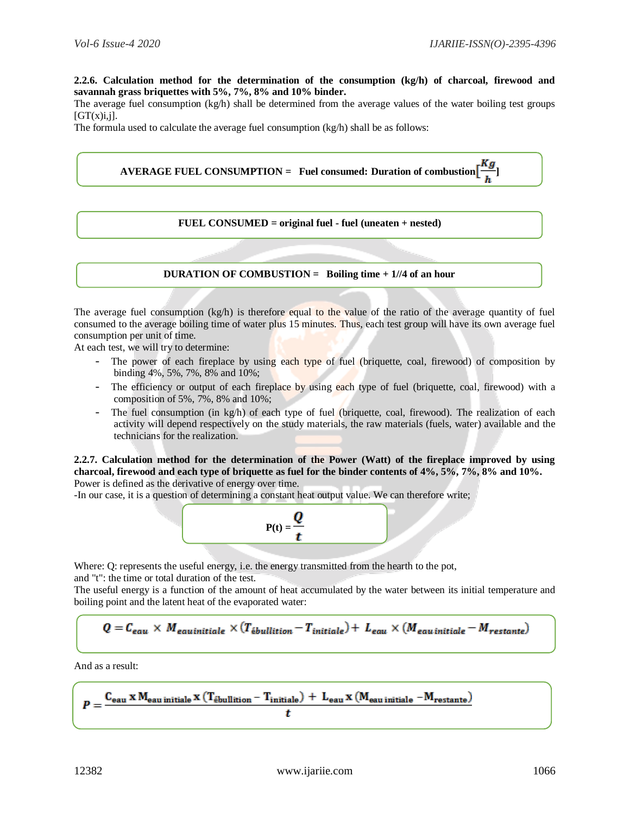**2.2.6. Calculation method for the determination of the consumption (kg/h) of charcoal, firewood and savannah grass briquettes with 5%, 7%, 8% and 10% binder.** 

The average fuel consumption (kg/h) shall be determined from the average values of the water boiling test groups  $[GT(x)i,j].$ 

The formula used to calculate the average fuel consumption (kg/h) shall be as follows:

**AVERAGE FUEL CONSUMPTION = Fuel consumed: Duration of combustion**  $\left[\frac{Kg}{h}\right]$ 

#### **FUEL CONSUMED = original fuel - fuel (uneaten + nested)**

#### **DURATION OF COMBUSTION = Boiling time + 1//4 of an hour**

The average fuel consumption (kg/h) is therefore equal to the value of the ratio of the average quantity of fuel consumed to the average boiling time of water plus 15 minutes. Thus, each test group will have its own average fuel consumption per unit of time.

At each test, we will try to determine:

- The power of each fireplace by using each type of fuel (briquette, coal, firewood) of composition by binding 4%, 5%, 7%, 8% and 10%;
- The efficiency or output of each fireplace by using each type of fuel (briquette, coal, firewood) with a composition of 5%, 7%, 8% and 10%;
- The fuel consumption (in  $kg/h$ ) of each type of fuel (briquette, coal, firewood). The realization of each activity will depend respectively on the study materials, the raw materials (fuels, water) available and the technicians for the realization.

**2.2.7. Calculation method for the determination of the Power (Watt) of the fireplace improved by using charcoal, firewood and each type of briquette as fuel for the binder contents of 4%, 5%, 7%, 8% and 10%.**  Power is defined as the derivative of energy over time.

-In our case, it is a question of determining a constant heat output value. We can therefore write;



Where: Q: represents the useful energy, i.e. the energy transmitted from the hearth to the pot,

and "t": the time or total duration of the test.

The useful energy is a function of the amount of heat accumulated by the water between its initial temperature and boiling point and the latent heat of the evaporated water:

$$
Q = C_{eau} \times M_{eau initiale} \times (T_{\acute{e}bulition} - T_{initiale}) + L_{eau} \times (M_{eau initiale} - M_{restante})
$$

And as a result:

$$
P = \frac{C_{eau} \; x \; M_{eau\; initiale} \; x \; (T_{ebullition} - T_{initiale}) \; + \; L_{eau} \; x \; (M_{eau\; initiale} \; - M_{restante})}{t}
$$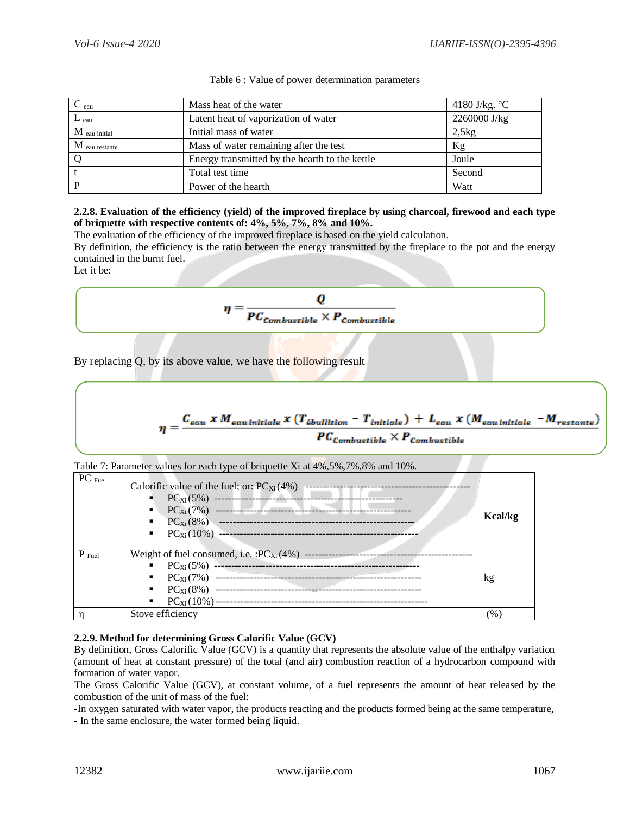| $\mathbf{C}_{\text{eau}}$ | Mass heat of the water                         | 4180 J/kg. $\degree$ C |
|---------------------------|------------------------------------------------|------------------------|
| $L_{\text{eau}}$          | Latent heat of vaporization of water           | 2260000 J/kg           |
| $M$ eau initial           | Initial mass of water                          | 2,5kg                  |
| $M$ eau restante          | Mass of water remaining after the test         | Kg                     |
|                           | Energy transmitted by the hearth to the kettle | Joule                  |
|                           | Total test time                                | Second                 |
| D                         | Power of the hearth                            | Watt                   |

|  |  | Table 6 : Value of power determination parameters |  |
|--|--|---------------------------------------------------|--|
|--|--|---------------------------------------------------|--|

## **2.2.8. Evaluation of the efficiency (yield) of the improved fireplace by using charcoal, firewood and each type of briquette with respective contents of: 4%, 5%, 7%, 8% and 10%.**

The evaluation of the efficiency of the improved fireplace is based on the yield calculation.

By definition, the efficiency is the ratio between the energy transmitted by the fireplace to the pot and the energy contained in the burnt fuel.

Let it be:

$$
\eta = \frac{Q}{PC_{combustible} \times P_{combustible}}
$$

By replacing Q, by its above value, we have the following result

$$
\eta = \frac{C_{eau} \times M_{eau\,initiale} \times (T_{\acute{e}bulition} - T_{initiale}) + L_{eau} \times (M_{eau\,initiale} - M_{restante})}{PC_{combustible} \times P_{combustible}}
$$

|  | Table 7: Parameter values for each type of briquette Xi at 4%,5%,7%,8% and 10%. |  |
|--|---------------------------------------------------------------------------------|--|
|  |                                                                                 |  |

| $PC$ Fuel         | Calorific value of the fuel; or: $PC_{Xi}(4\%)$ | <b>Kcal/kg</b> |
|-------------------|-------------------------------------------------|----------------|
| $P_{\text{Full}}$ |                                                 |                |
|                   |                                                 |                |
|                   |                                                 | kg             |
|                   |                                                 |                |
|                   |                                                 |                |
|                   | Stove efficiency                                | $(\% )$        |

# **2.2.9. Method for determining Gross Calorific Value (GCV)**

By definition, Gross Calorific Value (GCV) is a quantity that represents the absolute value of the enthalpy variation (amount of heat at constant pressure) of the total (and air) combustion reaction of a hydrocarbon compound with formation of water vapor.

The Gross Calorific Value (GCV), at constant volume, of a fuel represents the amount of heat released by the combustion of the unit of mass of the fuel:

-In oxygen saturated with water vapor, the products reacting and the products formed being at the same temperature, - In the same enclosure, the water formed being liquid.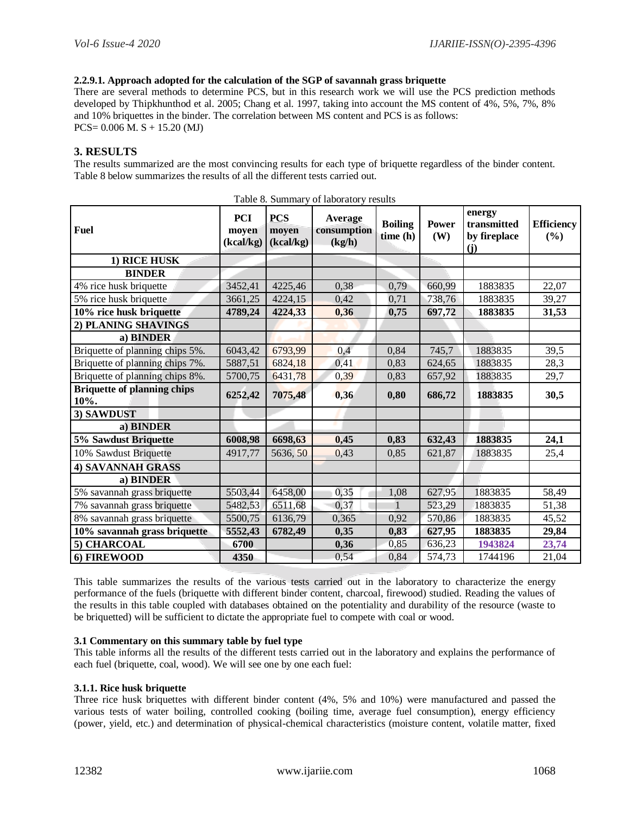## **2.2.9.1. Approach adopted for the calculation of the SGP of savannah grass briquette**

There are several methods to determine PCS, but in this research work we will use the PCS prediction methods developed by Thipkhunthod et al. 2005; Chang et al. 1997, taking into account the MS content of 4%, 5%, 7%, 8% and 10% briquettes in the binder. The correlation between MS content and PCS is as follows: PCS= 0.006 M. S + 15.20 (MJ)

# **3. RESULTS**

The results summarized are the most convincing results for each type of briquette regardless of the binder content. Table 8 below summarizes the results of all the different tests carried out.

| <b>Fuel</b>                                | <b>PCI</b><br>moyen<br>(kcal/kg) | <b>PCS</b><br>moyen<br>(kcal/kg) | $\frac{1}{2}$ and $\frac{1}{2}$ . Buttherefore $\frac{1}{2}$ results<br>Average<br>consumption<br>(kg/h) | <b>Boiling</b><br>time (h) | <b>Power</b><br>(W) | energy<br>transmitted<br>by fireplace<br>(j) | <b>Efficiency</b><br>(%) |
|--------------------------------------------|----------------------------------|----------------------------------|----------------------------------------------------------------------------------------------------------|----------------------------|---------------------|----------------------------------------------|--------------------------|
| 1) RICE HUSK                               |                                  |                                  |                                                                                                          |                            |                     |                                              |                          |
| <b>BINDER</b>                              |                                  |                                  |                                                                                                          |                            |                     |                                              |                          |
| 4% rice husk briquette                     | 3452,41                          | 4225,46                          | 0,38                                                                                                     | 0,79                       | 660,99              | 1883835                                      | 22,07                    |
| 5% rice husk briquette                     | 3661,25                          | 4224,15                          | 0,42                                                                                                     | 0,71                       | 738,76              | 1883835                                      | 39,27                    |
| 10% rice husk briquette                    | 4789,24                          | 4224,33                          | 0,36                                                                                                     | 0,75                       | 697,72              | 1883835                                      | 31,53                    |
| 2) PLANING SHAVINGS                        |                                  |                                  |                                                                                                          |                            |                     |                                              |                          |
| a) BINDER                                  |                                  |                                  |                                                                                                          |                            |                     |                                              |                          |
| Briquette of planning chips 5%.            | 6043,42                          | 6793,99                          | 0,4                                                                                                      | 0,84                       | 745,7               | 1883835                                      | 39,5                     |
| Briquette of planning chips 7%.            | 5887,51                          | 6824,18                          | 0,41                                                                                                     | 0,83                       | 624,65              | 1883835                                      | 28,3                     |
| Briquette of planning chips 8%.            | 5700,75                          | 6431,78                          | 0,39                                                                                                     | 0,83                       | 657,92              | 1883835                                      | 29,7                     |
| <b>Briquette of planning chips</b><br>10%. | 6252,42                          | 7075,48                          | 0,36                                                                                                     | 0,80                       | 686,72              | 1883835                                      | 30,5                     |
| 3) SAWDUST                                 |                                  |                                  |                                                                                                          |                            |                     |                                              |                          |
| a) BINDER                                  |                                  |                                  |                                                                                                          |                            |                     |                                              |                          |
| 5% Sawdust Briquette                       | 6008,98                          | 6698,63                          | 0,45                                                                                                     | 0,83                       | 632,43              | 1883835                                      | 24,1                     |
| 10% Sawdust Briquette                      | 4917,77                          | 5636, 50                         | 0,43                                                                                                     | 0,85                       | 621,87              | 1883835                                      | 25,4                     |
| <b>4) SAVANNAH GRASS</b>                   |                                  |                                  |                                                                                                          |                            |                     |                                              |                          |
| a) BINDER                                  |                                  |                                  |                                                                                                          |                            |                     |                                              |                          |
| 5% savannah grass briquette                | 5503,44                          | 6458,00                          | 0,35                                                                                                     | 1,08                       | 627,95              | 1883835                                      | 58,49                    |
| 7% savannah grass briquette                | 5482,53                          | 6511,68                          | 0,37                                                                                                     |                            | 523,29              | 1883835                                      | 51,38                    |
| 8% savannah grass briquette                | 5500,75                          | 6136,79                          | 0,365                                                                                                    | 0,92                       | 570,86              | 1883835                                      | 45,52                    |
| 10% savannah grass briquette               | 5552,43                          | 6782,49                          | 0,35                                                                                                     | 0,83                       | 627,95              | 1883835                                      | 29,84                    |
| 5) CHARCOAL                                | 6700                             |                                  | 0,36                                                                                                     | 0,85                       | 636,23              | 1943824                                      | 23,74                    |
| 6) FIREWOOD                                | 4350                             |                                  | 0,54                                                                                                     | 0,84                       | 574,73              | 1744196                                      | 21,04                    |

Table 8. Summary of laboratory results

This table summarizes the results of the various tests carried out in the laboratory to characterize the energy performance of the fuels (briquette with different binder content, charcoal, firewood) studied. Reading the values of the results in this table coupled with databases obtained on the potentiality and durability of the resource (waste to be briquetted) will be sufficient to dictate the appropriate fuel to compete with coal or wood.

#### **3.1 Commentary on this summary table by fuel type**

This table informs all the results of the different tests carried out in the laboratory and explains the performance of each fuel (briquette, coal, wood). We will see one by one each fuel:

#### **3.1.1. Rice husk briquette**

Three rice husk briquettes with different binder content (4%, 5% and 10%) were manufactured and passed the various tests of water boiling, controlled cooking (boiling time, average fuel consumption), energy efficiency (power, yield, etc.) and determination of physical-chemical characteristics (moisture content, volatile matter, fixed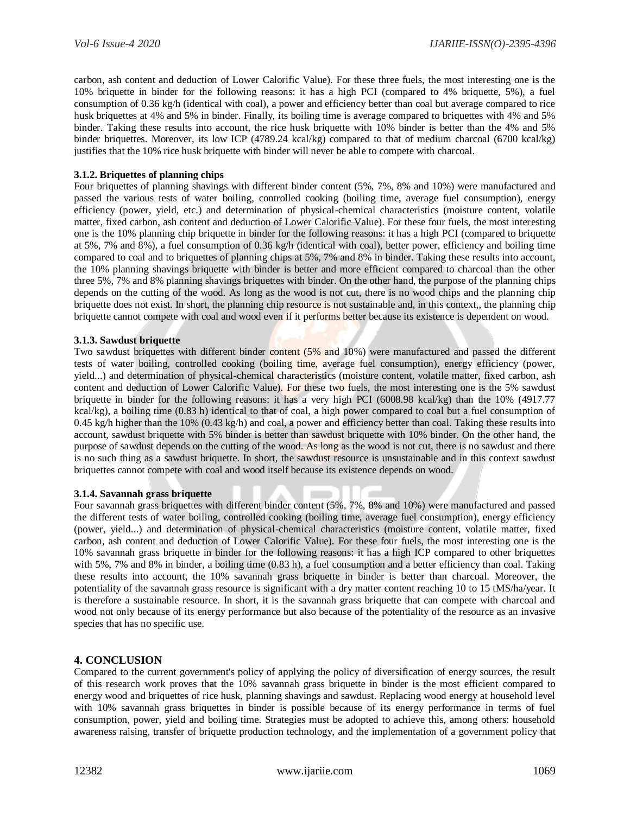carbon, ash content and deduction of Lower Calorific Value). For these three fuels, the most interesting one is the 10% briquette in binder for the following reasons: it has a high PCI (compared to 4% briquette, 5%), a fuel consumption of 0.36 kg/h (identical with coal), a power and efficiency better than coal but average compared to rice husk briquettes at 4% and 5% in binder. Finally, its boiling time is average compared to briquettes with 4% and 5% binder. Taking these results into account, the rice husk briquette with 10% binder is better than the 4% and 5% binder briquettes. Moreover, its low ICP (4789.24 kcal/kg) compared to that of medium charcoal (6700 kcal/kg) justifies that the 10% rice husk briquette with binder will never be able to compete with charcoal.

## **3.1.2. Briquettes of planning chips**

Four briquettes of planning shavings with different binder content (5%, 7%, 8% and 10%) were manufactured and passed the various tests of water boiling, controlled cooking (boiling time, average fuel consumption), energy efficiency (power, yield, etc.) and determination of physical-chemical characteristics (moisture content, volatile matter, fixed carbon, ash content and deduction of Lower Calorific Value). For these four fuels, the most interesting one is the 10% planning chip briquette in binder for the following reasons: it has a high PCI (compared to briquette at 5%, 7% and 8%), a fuel consumption of 0.36 kg/h (identical with coal), better power, efficiency and boiling time compared to coal and to briquettes of planning chips at 5%, 7% and 8% in binder. Taking these results into account, the 10% planning shavings briquette with binder is better and more efficient compared to charcoal than the other three 5%, 7% and 8% planning shavings briquettes with binder. On the other hand, the purpose of the planning chips depends on the cutting of the wood. As long as the wood is not cut, there is no wood chips and the planning chip briquette does not exist. In short, the planning chip resource is not sustainable and, in this context,, the planning chip briquette cannot compete with coal and wood even if it performs better because its existence is dependent on wood.

## **3.1.3. Sawdust briquette**

Two sawdust briquettes with different binder content (5% and 10%) were manufactured and passed the different tests of water boiling, controlled cooking (boiling time, average fuel consumption), energy efficiency (power, yield...) and determination of physical-chemical characteristics (moisture content, volatile matter, fixed carbon, ash content and deduction of Lower Calorific Value). For these two fuels, the most interesting one is the 5% sawdust briquette in binder for the following reasons: it has a very high PCI (6008.98 kcal/kg) than the 10% (4917.77 kcal/kg), a boiling time (0.83 h) identical to that of coal, a high power compared to coal but a fuel consumption of 0.45 kg/h higher than the 10% (0.43 kg/h) and coal, a power and efficiency better than coal. Taking these results into account, sawdust briquette with 5% binder is better than sawdust briquette with 10% binder. On the other hand, the purpose of sawdust depends on the cutting of the wood. As long as the wood is not cut, there is no sawdust and there is no such thing as a sawdust briquette. In short, the sawdust resource is unsustainable and in this context sawdust briquettes cannot compete with coal and wood itself because its existence depends on wood.

#### **3.1.4. Savannah grass briquette**

Four savannah grass briquettes with different binder content (5%, 7%, 8% and 10%) were manufactured and passed the different tests of water boiling, controlled cooking (boiling time, average fuel consumption), energy efficiency (power, yield...) and determination of physical-chemical characteristics (moisture content, volatile matter, fixed carbon, ash content and deduction of Lower Calorific Value). For these four fuels, the most interesting one is the 10% savannah grass briquette in binder for the following reasons: it has a high ICP compared to other briquettes with 5%, 7% and 8% in binder, a boiling time (0.83 h), a fuel consumption and a better efficiency than coal. Taking these results into account, the 10% savannah grass briquette in binder is better than charcoal. Moreover, the potentiality of the savannah grass resource is significant with a dry matter content reaching 10 to 15 tMS/ha/year. It is therefore a sustainable resource. In short, it is the savannah grass briquette that can compete with charcoal and wood not only because of its energy performance but also because of the potentiality of the resource as an invasive species that has no specific use.

# **4. CONCLUSION**

Compared to the current government's policy of applying the policy of diversification of energy sources, the result of this research work proves that the 10% savannah grass briquette in binder is the most efficient compared to energy wood and briquettes of rice husk, planning shavings and sawdust. Replacing wood energy at household level with 10% savannah grass briquettes in binder is possible because of its energy performance in terms of fuel consumption, power, yield and boiling time. Strategies must be adopted to achieve this, among others: household awareness raising, transfer of briquette production technology, and the implementation of a government policy that